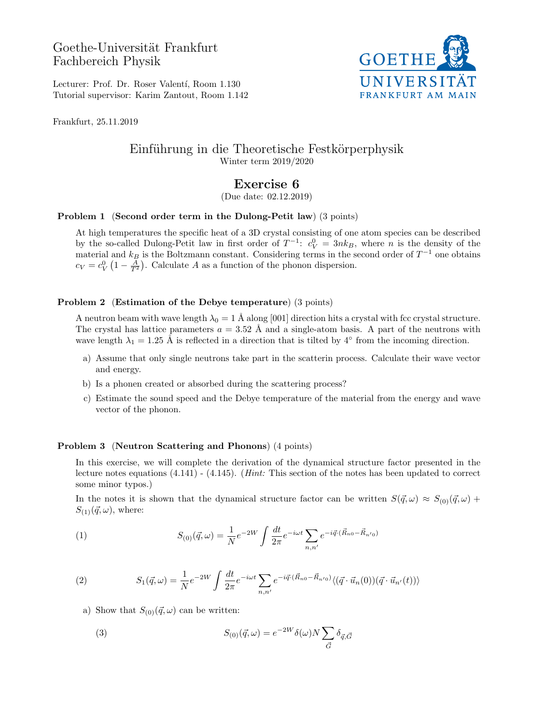Goethe-Universität Frankfurt Fachbereich Physik



Lecturer: Prof. Dr. Roser Valentí, Room 1.130 Tutorial supervisor: Karim Zantout, Room 1.142

Frankfurt, 25.11.2019

# Einführung in die Theoretische Festkörperphysik Winter term 2019/2020

# Exercise 6

(Due date: 02.12.2019)

## Problem 1 (Second order term in the Dulong-Petit law) (3 points)

At high temperatures the specific heat of a 3D crystal consisting of one atom species can be described by the so-called Dulong-Petit law in first order of  $T^{-1}$ :  $c_V^0 = 3nk_B$ , where n is the density of the material and  $k_B$  is the Boltzmann constant. Considering terms in the second order of  $T^{-1}$  one obtains  $c_V = c_V^0 \left(1 - \frac{A}{T^2}\right)$ . Calculate A as a function of the phonon dispersion.

### Problem 2 (Estimation of the Debye temperature) (3 points)

A neutron beam with wave length  $\lambda_0 = 1$  Å along [001] direction hits a crystal with fcc crystal structure. The crystal has lattice parameters  $a = 3.52$  Å and a single-atom basis. A part of the neutrons with wave length  $\lambda_1 = 1.25$  Å is reflected in a direction that is tilted by 4<sup>°</sup> from the incoming direction.

- a) Assume that only single neutrons take part in the scatterin process. Calculate their wave vector and energy.
- b) Is a phonen created or absorbed during the scattering process?
- c) Estimate the sound speed and the Debye temperature of the material from the energy and wave vector of the phonon.

### Problem 3 (Neutron Scattering and Phonons) (4 points)

In this exercise, we will complete the derivation of the dynamical structure factor presented in the lecture notes equations (4.141) - (4.145). (Hint: This section of the notes has been updated to correct some minor typos.)

In the notes it is shown that the dynamical structure factor can be written  $S(\vec{q}, \omega) \approx S_{(0)}(\vec{q}, \omega) +$  $S_{(1)}(\vec{q}, \omega)$ , where:

(1) 
$$
S_{(0)}(\vec{q},\omega) = \frac{1}{N}e^{-2W}\int \frac{dt}{2\pi}e^{-i\omega t}\sum_{n,n'}e^{-i\vec{q}\cdot(\vec{R}_{n0}-\vec{R}_{n'0})}
$$

(2) 
$$
S_1(\vec{q}, \omega) = \frac{1}{N} e^{-2W} \int \frac{dt}{2\pi} e^{-i\omega t} \sum_{n,n'} e^{-i\vec{q} \cdot (\vec{R}_{n0} - \vec{R}_{n'0})} \langle (\vec{q} \cdot \vec{u}_n(0))(\vec{q} \cdot \vec{u}_{n'}(t)) \rangle
$$

a) Show that  $S_{(0)}(\vec{q}, \omega)$  can be written:

(3) 
$$
S_{(0)}(\vec{q},\omega) = e^{-2W}\delta(\omega)N\sum_{\vec{G}}\delta_{\vec{q},\vec{G}}
$$